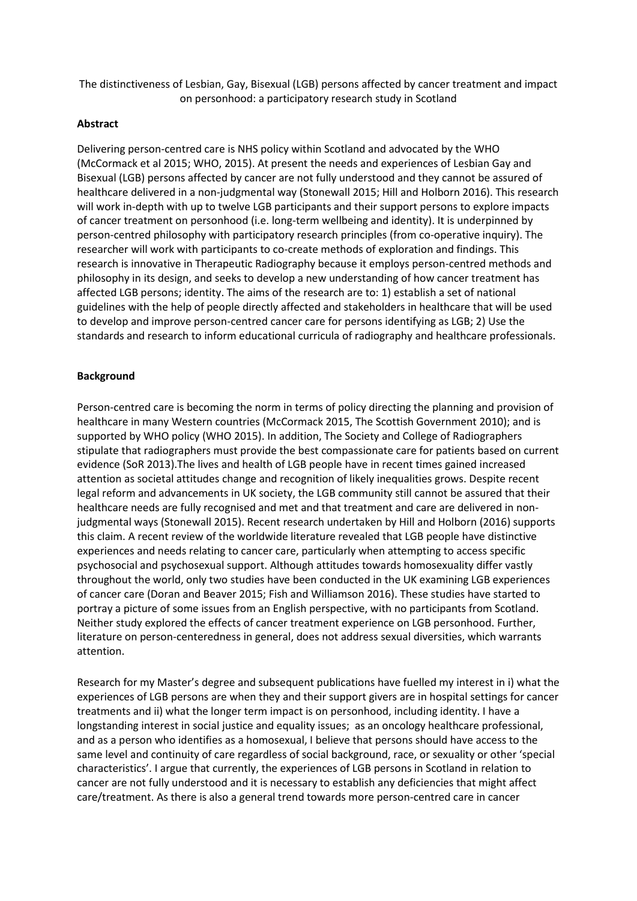The distinctiveness of Lesbian, Gay, Bisexual (LGB) persons affected by cancer treatment and impact on personhood: a participatory research study in Scotland

#### **Abstract**

Delivering person-centred care is NHS policy within Scotland and advocated by the WHO (McCormack et al 2015; WHO, 2015). At present the needs and experiences of Lesbian Gay and Bisexual (LGB) persons affected by cancer are not fully understood and they cannot be assured of healthcare delivered in a non-judgmental way (Stonewall 2015; Hill and Holborn 2016). This research will work in-depth with up to twelve LGB participants and their support persons to explore impacts of cancer treatment on personhood (i.e. long-term wellbeing and identity). It is underpinned by person-centred philosophy with participatory research principles (from co-operative inquiry). The researcher will work with participants to co-create methods of exploration and findings. This research is innovative in Therapeutic Radiography because it employs person-centred methods and philosophy in its design, and seeks to develop a new understanding of how cancer treatment has affected LGB persons; identity. The aims of the research are to: 1) establish a set of national guidelines with the help of people directly affected and stakeholders in healthcare that will be used to develop and improve person-centred cancer care for persons identifying as LGB; 2) Use the standards and research to inform educational curricula of radiography and healthcare professionals.

#### **Background**

Person-centred care is becoming the norm in terms of policy directing the planning and provision of healthcare in many Western countries (McCormack 2015, The Scottish Government 2010); and is supported by WHO policy (WHO 2015). In addition, The Society and College of Radiographers stipulate that radiographers must provide the best compassionate care for patients based on current evidence (SoR 2013).The lives and health of LGB people have in recent times gained increased attention as societal attitudes change and recognition of likely inequalities grows. Despite recent legal reform and advancements in UK society, the LGB community still cannot be assured that their healthcare needs are fully recognised and met and that treatment and care are delivered in nonjudgmental ways (Stonewall 2015). Recent research undertaken by Hill and Holborn (2016) supports this claim. A recent review of the worldwide literature revealed that LGB people have distinctive experiences and needs relating to cancer care, particularly when attempting to access specific psychosocial and psychosexual support. Although attitudes towards homosexuality differ vastly throughout the world, only two studies have been conducted in the UK examining LGB experiences of cancer care (Doran and Beaver 2015; Fish and Williamson 2016). These studies have started to portray a picture of some issues from an English perspective, with no participants from Scotland. Neither study explored the effects of cancer treatment experience on LGB personhood. Further, literature on person-centeredness in general, does not address sexual diversities, which warrants attention.

Research for my Master's degree and subsequent publications have fuelled my interest in i) what the experiences of LGB persons are when they and their support givers are in hospital settings for cancer treatments and ii) what the longer term impact is on personhood, including identity. I have a longstanding interest in social justice and equality issues; as an oncology healthcare professional, and as a person who identifies as a homosexual, I believe that persons should have access to the same level and continuity of care regardless of social background, race, or sexuality or other 'special characteristics'. I argue that currently, the experiences of LGB persons in Scotland in relation to cancer are not fully understood and it is necessary to establish any deficiencies that might affect care/treatment. As there is also a general trend towards more person-centred care in cancer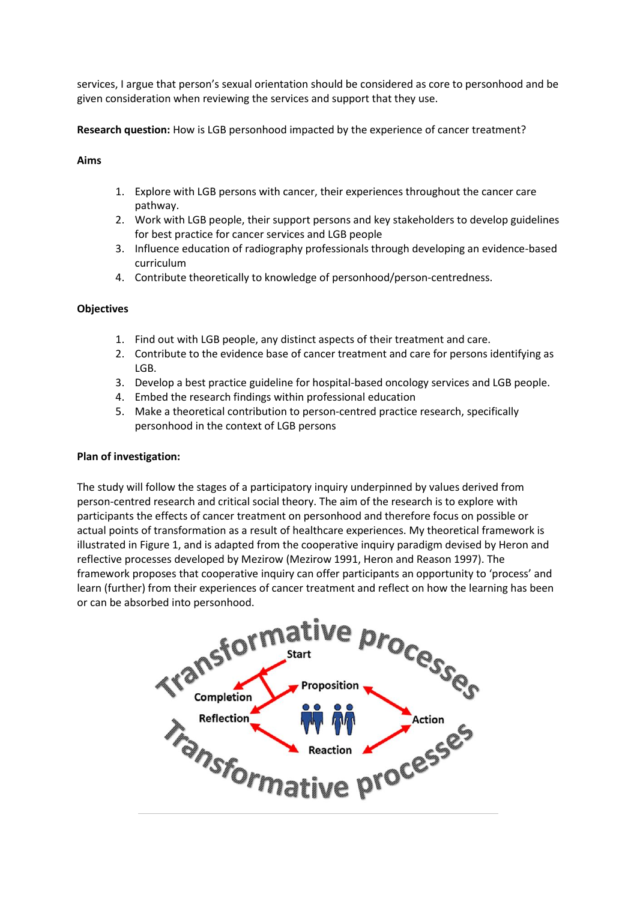services, I argue that person's sexual orientation should be considered as core to personhood and be given consideration when reviewing the services and support that they use.

**Research question:** How is LGB personhood impacted by the experience of cancer treatment?

## **Aims**

- 1. Explore with LGB persons with cancer, their experiences throughout the cancer care pathway.
- 2. Work with LGB people, their support persons and key stakeholders to develop guidelines for best practice for cancer services and LGB people
- 3. Influence education of radiography professionals through developing an evidence-based curriculum
- 4. Contribute theoretically to knowledge of personhood/person-centredness.

#### **Objectives**

- 1. Find out with LGB people, any distinct aspects of their treatment and care.
- 2. Contribute to the evidence base of cancer treatment and care for persons identifying as LGB.
- 3. Develop a best practice guideline for hospital-based oncology services and LGB people.
- 4. Embed the research findings within professional education
- 5. Make a theoretical contribution to person-centred practice research, specifically personhood in the context of LGB persons

#### **Plan of investigation:**

The study will follow the stages of a participatory inquiry underpinned by values derived from person-centred research and critical social theory. The aim of the research is to explore with participants the effects of cancer treatment on personhood and therefore focus on possible or actual points of transformation as a result of healthcare experiences. My theoretical framework is illustrated in Figure 1, and is adapted from the cooperative inquiry paradigm devised by Heron and reflective processes developed by Mezirow (Mezirow 1991, Heron and Reason 1997). The framework proposes that cooperative inquiry can offer participants an opportunity to 'process' and

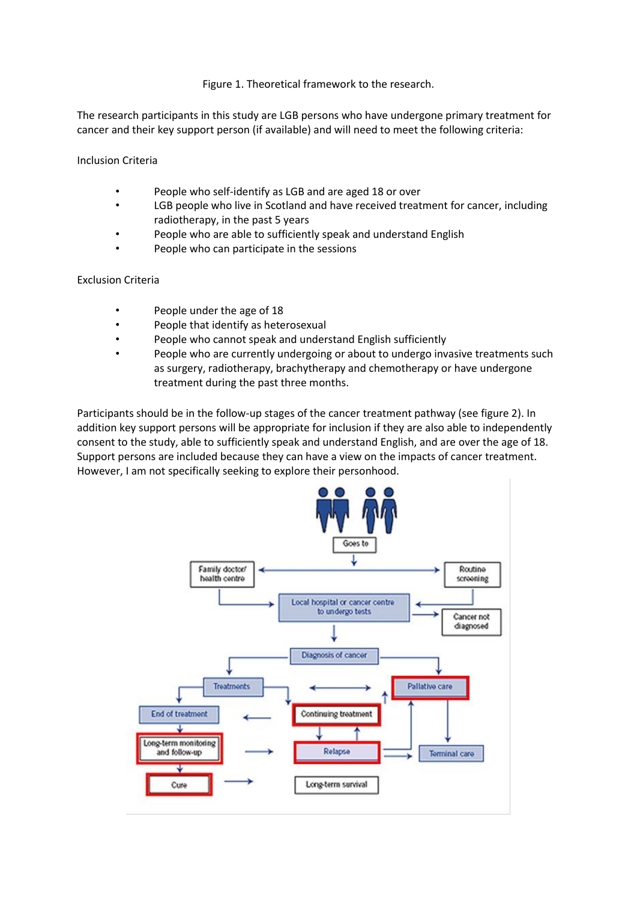## Figure 1. Theoretical framework to the research.

The research participants in this study are LGB persons who have undergone primary treatment for cancer and their key support person (if available) and will need to meet the following criteria:

Inclusion Criteria

- People who self-identify as LGB and are aged 18 or over
- LGB people who live in Scotland and have received treatment for cancer, including radiotherapy, in the past 5 years
- People who are able to sufficiently speak and understand English
- People who can participate in the sessions

## Exclusion Criteria

- People under the age of 18
- People that identify as heterosexual
- People who cannot speak and understand English sufficiently
- People who are currently undergoing or about to undergo invasive treatments such as surgery, radiotherapy, brachytherapy and chemotherapy or have undergone treatment during the past three months.

Participants should be in the follow-up stages of the cancer treatment pathway (see figure 2). In addition key support persons will be appropriate for inclusion if they are also able to independently consent to the study, able to sufficiently speak and understand English, and are over the age of 18. Support persons are included because they can have a view on the impacts of cancer treatment. However, I am not specifically seeking to explore their personhood.

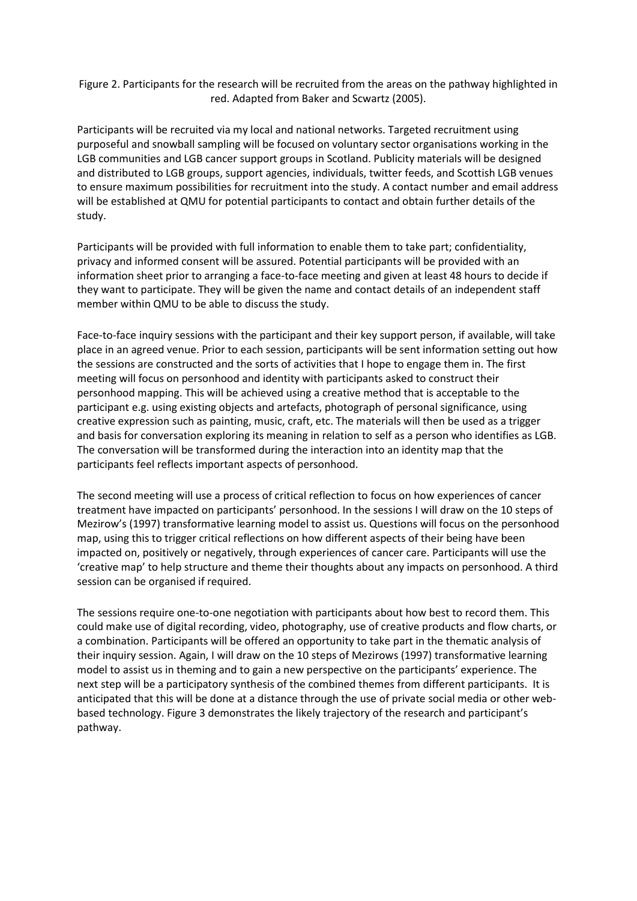Figure 2. Participants for the research will be recruited from the areas on the pathway highlighted in red. Adapted from Baker and Scwartz (2005).

Participants will be recruited via my local and national networks. Targeted recruitment using purposeful and snowball sampling will be focused on voluntary sector organisations working in the LGB communities and LGB cancer support groups in Scotland. Publicity materials will be designed and distributed to LGB groups, support agencies, individuals, twitter feeds, and Scottish LGB venues to ensure maximum possibilities for recruitment into the study. A contact number and email address will be established at QMU for potential participants to contact and obtain further details of the study.

Participants will be provided with full information to enable them to take part; confidentiality, privacy and informed consent will be assured. Potential participants will be provided with an information sheet prior to arranging a face-to-face meeting and given at least 48 hours to decide if they want to participate. They will be given the name and contact details of an independent staff member within QMU to be able to discuss the study.

Face-to-face inquiry sessions with the participant and their key support person, if available, will take place in an agreed venue. Prior to each session, participants will be sent information setting out how the sessions are constructed and the sorts of activities that I hope to engage them in. The first meeting will focus on personhood and identity with participants asked to construct their personhood mapping. This will be achieved using a creative method that is acceptable to the participant e.g. using existing objects and artefacts, photograph of personal significance, using creative expression such as painting, music, craft, etc. The materials will then be used as a trigger and basis for conversation exploring its meaning in relation to self as a person who identifies as LGB. The conversation will be transformed during the interaction into an identity map that the participants feel reflects important aspects of personhood.

The second meeting will use a process of critical reflection to focus on how experiences of cancer treatment have impacted on participants' personhood. In the sessions I will draw on the 10 steps of Mezirow's (1997) transformative learning model to assist us. Questions will focus on the personhood map, using this to trigger critical reflections on how different aspects of their being have been impacted on, positively or negatively, through experiences of cancer care. Participants will use the 'creative map' to help structure and theme their thoughts about any impacts on personhood. A third session can be organised if required.

The sessions require one-to-one negotiation with participants about how best to record them. This could make use of digital recording, video, photography, use of creative products and flow charts, or a combination. Participants will be offered an opportunity to take part in the thematic analysis of their inquiry session. Again, I will draw on the 10 steps of Mezirows (1997) transformative learning model to assist us in theming and to gain a new perspective on the participants' experience. The next step will be a participatory synthesis of the combined themes from different participants. It is anticipated that this will be done at a distance through the use of private social media or other webbased technology. Figure 3 demonstrates the likely trajectory of the research and participant's pathway.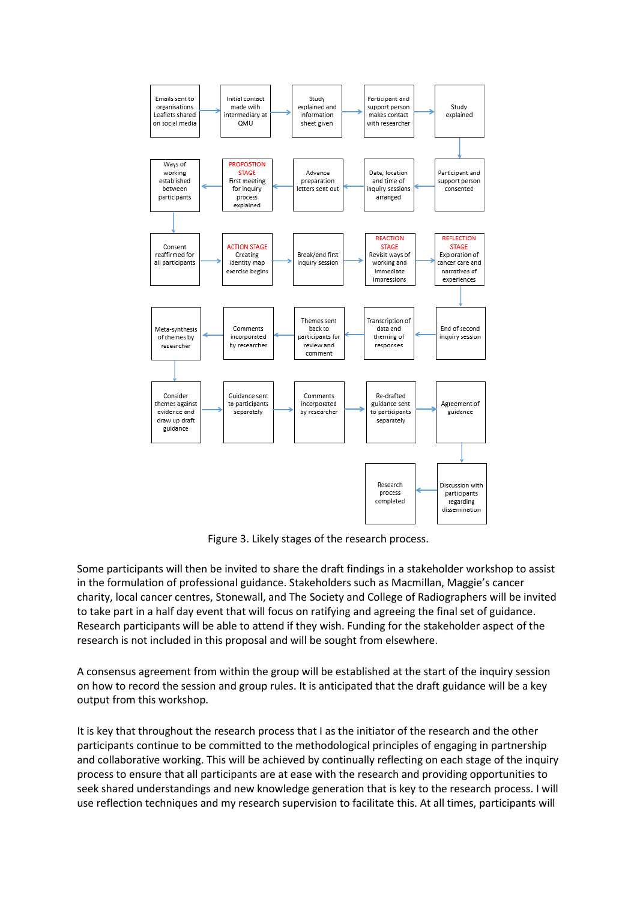

Figure 3. Likely stages of the research process.

Some participants will then be invited to share the draft findings in a stakeholder workshop to assist in the formulation of professional guidance. Stakeholders such as Macmillan, Maggie's cancer charity, local cancer centres, Stonewall, and The Society and College of Radiographers will be invited to take part in a half day event that will focus on ratifying and agreeing the final set of guidance. Research participants will be able to attend if they wish. Funding for the stakeholder aspect of the research is not included in this proposal and will be sought from elsewhere.

A consensus agreement from within the group will be established at the start of the inquiry session on how to record the session and group rules. It is anticipated that the draft guidance will be a key output from this workshop.

It is key that throughout the research process that I as the initiator of the research and the other participants continue to be committed to the methodological principles of engaging in partnership and collaborative working. This will be achieved by continually reflecting on each stage of the inquiry process to ensure that all participants are at ease with the research and providing opportunities to seek shared understandings and new knowledge generation that is key to the research process. I will use reflection techniques and my research supervision to facilitate this. At all times, participants will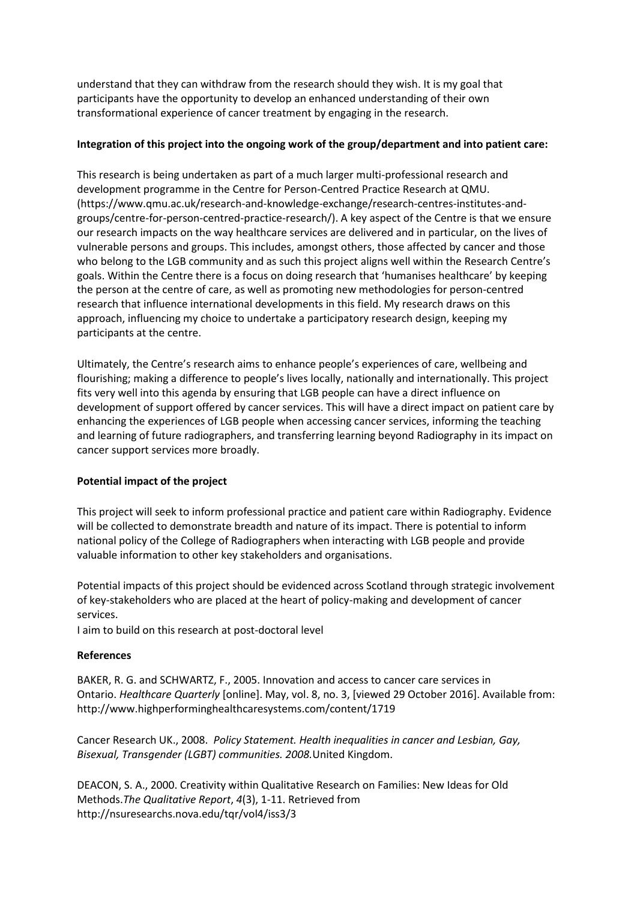understand that they can withdraw from the research should they wish. It is my goal that participants have the opportunity to develop an enhanced understanding of their own transformational experience of cancer treatment by engaging in the research.

## **Integration of this project into the ongoing work of the group/department and into patient care:**

This research is being undertaken as part of a much larger multi-professional research and development programme in the Centre for Person-Centred Practice Research at QMU. (https://www.qmu.ac.uk/research-and-knowledge-exchange/research-centres-institutes-andgroups/centre-for-person-centred-practice-research/). A key aspect of the Centre is that we ensure our research impacts on the way healthcare services are delivered and in particular, on the lives of vulnerable persons and groups. This includes, amongst others, those affected by cancer and those who belong to the LGB community and as such this project aligns well within the Research Centre's goals. Within the Centre there is a focus on doing research that 'humanises healthcare' by keeping the person at the centre of care, as well as promoting new methodologies for person-centred research that influence international developments in this field. My research draws on this approach, influencing my choice to undertake a participatory research design, keeping my participants at the centre.

Ultimately, the Centre's research aims to enhance people's experiences of care, wellbeing and flourishing; making a difference to people's lives locally, nationally and internationally. This project fits very well into this agenda by ensuring that LGB people can have a direct influence on development of support offered by cancer services. This will have a direct impact on patient care by enhancing the experiences of LGB people when accessing cancer services, informing the teaching and learning of future radiographers, and transferring learning beyond Radiography in its impact on cancer support services more broadly.

# **Potential impact of the project**

This project will seek to inform professional practice and patient care within Radiography. Evidence will be collected to demonstrate breadth and nature of its impact. There is potential to inform national policy of the College of Radiographers when interacting with LGB people and provide valuable information to other key stakeholders and organisations.

Potential impacts of this project should be evidenced across Scotland through strategic involvement of key-stakeholders who are placed at the heart of policy-making and development of cancer services.

I aim to build on this research at post-doctoral level

#### **References**

BAKER, R. G. and SCHWARTZ, F., 2005. Innovation and access to cancer care services in Ontario. *Healthcare Quarterly* [online]. May, vol. 8, no. 3, [viewed 29 October 2016]. Available from: http://www.highperforminghealthcaresystems.com/content/1719

Cancer Research UK., 2008. *Policy Statement. Health inequalities in cancer and Lesbian, Gay, Bisexual, Transgender (LGBT) communities. 2008.*United Kingdom.

DEACON, S. A., 2000. Creativity within Qualitative Research on Families: New Ideas for Old Methods.*The Qualitative Report*, *4*(3), 1-11. Retrieved from http://nsuresearchs.nova.edu/tqr/vol4/iss3/3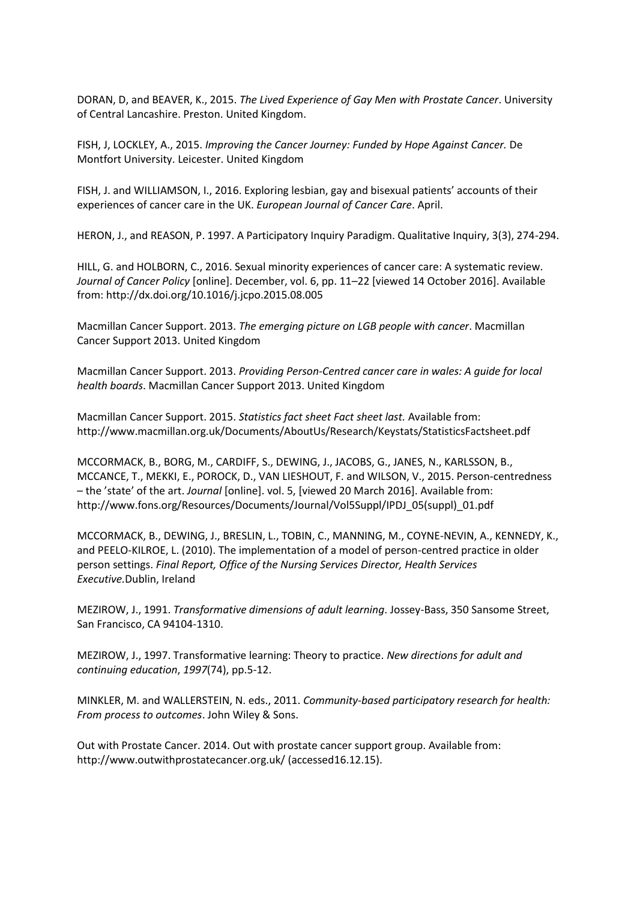DORAN, D, and BEAVER, K., 2015. *The Lived Experience of Gay Men with Prostate Cancer*. University of Central Lancashire. Preston. United Kingdom.

FISH, J, LOCKLEY, A., 2015. *Improving the Cancer Journey: Funded by Hope Against Cancer.* De Montfort University. Leicester. United Kingdom

FISH, J. and WILLIAMSON, I., 2016. Exploring lesbian, gay and bisexual patients' accounts of their experiences of cancer care in the UK. *European Journal of Cancer Care*. April.

HERON, J., and REASON, P. 1997. A Participatory Inquiry Paradigm. Qualitative Inquiry, 3(3), 274-294.

HILL, G. and HOLBORN, C., 2016. Sexual minority experiences of cancer care: A systematic review. *Journal of Cancer Policy* [online]. December, vol. 6, pp. 11–22 [viewed 14 October 2016]. Available from: http://dx.doi.org/10.1016/j.jcpo.2015.08.005

Macmillan Cancer Support. 2013. *The emerging picture on LGB people with cancer*. Macmillan Cancer Support 2013. United Kingdom

Macmillan Cancer Support. 2013. *Providing Person-Centred cancer care in wales: A guide for local health boards*. Macmillan Cancer Support 2013. United Kingdom

Macmillan Cancer Support. 2015. *Statistics fact sheet Fact sheet last.* Available from: http://www.macmillan.org.uk/Documents/AboutUs/Research/Keystats/StatisticsFactsheet.pdf

MCCORMACK, B., BORG, M., CARDIFF, S., DEWING, J., JACOBS, G., JANES, N., KARLSSON, B., MCCANCE, T., MEKKI, E., POROCK, D., VAN LIESHOUT, F. and WILSON, V., 2015. Person-centredness – the 'state' of the art. *Journal* [online]. vol. 5, [viewed 20 March 2016]. Available from: http://www.fons.org/Resources/Documents/Journal/Vol5Suppl/IPDJ\_05(suppl)\_01.pdf

MCCORMACK, B., DEWING, J., BRESLIN, L., TOBIN, C., MANNING, M., COYNE-NEVIN, A., KENNEDY, K., and PEELO-KILROE, L. (2010). The implementation of a model of person-centred practice in older person settings. *Final Report, Office of the Nursing Services Director, Health Services Executive.*Dublin, Ireland

MEZIROW, J., 1991. *Transformative dimensions of adult learning*. Jossey-Bass, 350 Sansome Street, San Francisco, CA 94104-1310.

MEZIROW, J., 1997. Transformative learning: Theory to practice. *New directions for adult and continuing education*, *1997*(74), pp.5-12.

MINKLER, M. and WALLERSTEIN, N. eds., 2011. *Community-based participatory research for health: From process to outcomes*. John Wiley & Sons.

Out with Prostate Cancer. 2014. Out with prostate cancer support group. Available from: http://www.outwithprostatecancer.org.uk/ (accessed16.12.15).